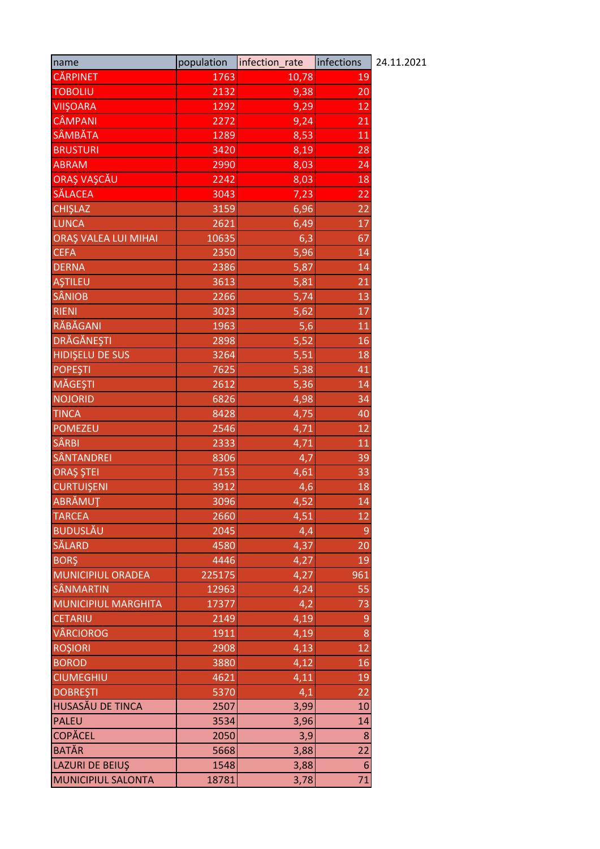| name                        | population | infection rate | infections       | 24.11.2021 |
|-----------------------------|------------|----------------|------------------|------------|
| <b>CĂRPINET</b>             | 1763       | 10,78          | 19               |            |
| TOBOLIU                     | 2132       | 9,38           | 20               |            |
| <b>VIIŞOARA</b>             | 1292       | 9,29           | 12               |            |
| CÂMPANI                     | 2272       | 9,24           | 21               |            |
| SÂMBĂTA                     | 1289       | 8,53           | 11               |            |
| <b>BRUSTURI</b>             | 3420       | 8,19           | 28               |            |
| <b>ABRAM</b>                | 2990       | 8,03           | 24               |            |
| ORAŞ VAŞCĂU                 | 2242       | 8,03           | 18               |            |
| <b>SĂLACEA</b>              | 3043       | 7,23           | 22               |            |
| <b>CHIŞLAZ</b>              | 3159       | 6,96           | 22               |            |
| <b>LUNCA</b>                | 2621       | 6,49           | 17               |            |
| <b>ORAŞ VALEA LUI MIHAI</b> | 10635      | 6,3            | 67               |            |
| <b>CEFA</b>                 | 2350       | 5,96           | 14               |            |
| <b>DERNA</b>                | 2386       | 5,87           | 14               |            |
| <b>AŞTILEU</b>              | 3613       | 5,81           | 21               |            |
| <b>SÂNIOB</b>               | 2266       | 5,74           | 13               |            |
| <b>RIENI</b>                | 3023       | 5,62           | 17               |            |
| RĂBĂGANI                    | 1963       | 5,6            | 11               |            |
| <b>DRĂGĂNEȘTI</b>           | 2898       | 5,52           | 16               |            |
| <b>HIDISELU DE SUS</b>      | 3264       | 5,51           | 18               |            |
| <b>POPEŞTI</b>              | 7625       | 5,38           | 41               |            |
| <b>MĂGEȘTI</b>              | 2612       | 5,36           | 14               |            |
| <b>NOJORID</b>              | 6826       | 4,98           | 34               |            |
| <b>TINCA</b>                | 8428       | 4,75           | 40               |            |
| <b>POMEZEU</b>              | 2546       | 4,71           | 12               |            |
| SÂRBI                       | 2333       | 4,71           | 11               |            |
| <b>SÂNTANDREI</b>           | 8306       | 4,7            | 39               |            |
| ORAȘ ȘTEI                   | 7153       | 4,61           | 33               |            |
| <b>CURTUIŞENI</b>           | 3912       | 4,6            | 18               |            |
| ABRĂMUT                     | 3096       | 4,52           | 14               |            |
| <b>TARCEA</b>               | 2660       | 4,51           | 12               |            |
| <b>BUDUSLĂU</b>             | 2045       | 4,4            | 9                |            |
| <b>SĂLARD</b>               | 4580       | 4,37           | 20               |            |
| <b>BORŞ</b>                 | 4446       | 4,27           | 19               |            |
| MUNICIPIUL ORADEA           | 225175     | 4,27           | 961              |            |
| <b>SÂNMARTIN</b>            | 12963      | 4,24           | $\overline{55}$  |            |
| <b>MUNICIPIUL MARGHITA</b>  | 17377      | 4,2            | 73               |            |
| <b>CETARIU</b>              | 2149       | 4,19           | 9                |            |
| VÂRCIOROG                   | 1911       | 4,19           | 8                |            |
| <b>ROŞIORI</b>              | 2908       | 4,13           | 12               |            |
| <b>BOROD</b>                | 3880       | 4,12           | 16               |            |
| <b>CIUMEGHIU</b>            | 4621       | 4,11           | 19               |            |
| <b>DOBREŞTI</b>             | 5370       | 4,1            | 22               |            |
| HUSASĂU DE TINCA            | 2507       | 3,99           | 10               |            |
| <b>PALEU</b>                | 3534       | 3,96           | 14               |            |
| <b>COPĂCEL</b>              | 2050       | 3,9            | 8                |            |
| <b>BATĂR</b>                | 5668       | 3,88           | 22               |            |
| <b>LAZURI DE BEIUŞ</b>      | 1548       | 3,88           | $\boldsymbol{6}$ |            |
| <b>MUNICIPIUL SALONTA</b>   | 18781      | 3,78           | 71               |            |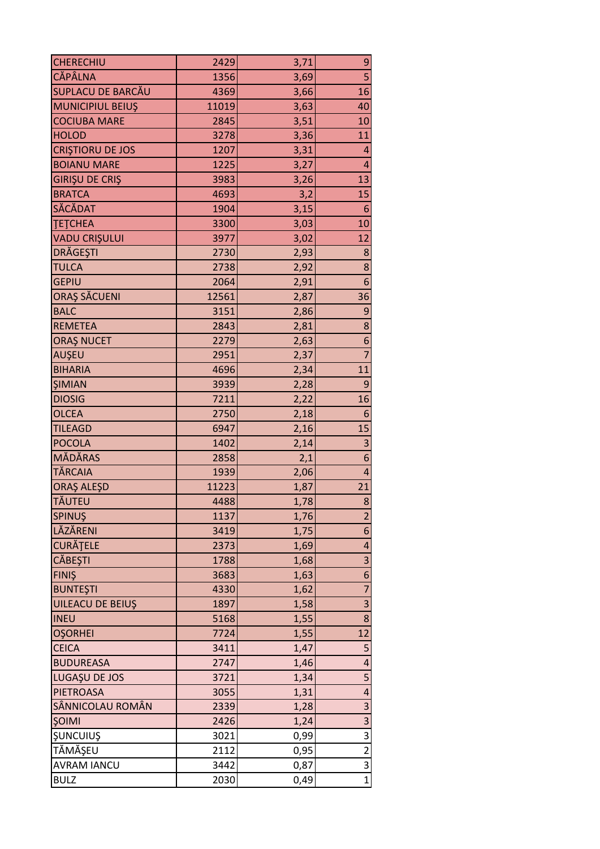| $\overline{\mathbf{5}}$<br><b>CĂPÂLNA</b><br>1356<br>3,69<br><b>SUPLACU DE BARCĂU</b><br>16<br>4369<br>3,66<br><b>MUNICIPIUL BEIUŞ</b><br>11019<br>3,63<br>40<br><b>COCIUBA MARE</b><br>2845<br>3,51<br>10<br><b>HOLOD</b><br>3278<br>11<br>3,36<br><b>CRISTIORU DE JOS</b><br>1207<br>3,31<br>4<br><b>BOIANU MARE</b><br>1225<br>3,27<br>$\overline{\mathbf{r}}$<br>13<br><b>GIRIŞU DE CRIŞ</b><br>3983<br>3,26<br><b>BRATCA</b><br>4693<br>3,2<br>15<br>SĂCĂDAT<br>3,15<br>1904<br>6<br><b>TETCHEA</b><br>3300<br>3,03<br>10<br><b>VADU CRIŞULUI</b><br>3977<br>12<br>3,02<br>DRĂGEȘTI<br>2730<br>2,93<br>8<br>8<br><b>TULCA</b><br>2738<br>2,92<br>2064<br>6<br><b>GEPIU</b><br>2,91<br>ORAȘ SĂCUENI<br>12561<br>36<br>2,87<br>9<br><b>BALC</b><br>3151<br>2,86<br>8<br><b>REMETEA</b><br>2843<br>2,81<br><b>ORAŞ NUCET</b><br>2279<br>6<br>2,63<br>$\overline{7}$<br>AUŞEU<br>2951<br>2,37<br>11<br><b>BIHARIA</b><br>4696<br>2,34<br>9<br><b>ŞIMIAN</b><br>3939<br>2,28<br><b>DIOSIG</b><br>7211<br>16<br>2,22<br><b>OLCEA</b><br>2750<br>6<br>2,18<br><b>TILEAGD</b><br>6947<br>2,16<br>15<br>3<br><b>POCOLA</b><br>1402<br>2,14<br>MĂDĂRAS<br>$\boldsymbol{6}$<br>2858<br>2,1<br><b>TĂRCAIA</b><br>1939<br>$\overline{\mathbf{r}}$<br>2,06<br><b>ORAŞ ALEŞD</b><br>11223<br>21<br>1,87<br>TĂUTEU<br>4488<br>1,78<br>8<br>SPINUŞ<br>1137<br>1,76<br>$\overline{2}$<br>LĂZĂRENI<br>$\boldsymbol{6}$<br>3419<br>1,75<br><b>CURĂȚELE</b><br>2373<br>4<br>1,69<br>$\overline{\mathbf{3}}$<br><b>CĂBEȘTI</b><br>1788<br>1,68<br><b>FINIS</b><br>3683<br>6<br>1,63<br>$\overline{7}$<br><b>BUNTEŞTI</b><br>4330<br>1,62<br>3<br><b>UILEACU DE BEIUS</b><br>1897<br>1,58<br>8<br><b>INEU</b><br>5168<br>1,55<br>12<br><b>OŞORHEI</b><br>1,55<br>7724<br><b>CEICA</b><br>5<br>3411<br>1,47<br><b>BUDUREASA</b><br>2747<br>$\overline{\mathbf{r}}$<br>1,46<br>5<br>LUGAȘU DE JOS<br>3721<br>1,34<br><b>PIETROASA</b><br>3055<br>$\overline{\mathbf{r}}$<br>1,31<br>3<br>SÂNNICOLAU ROMÂN<br>2339<br>1,28<br>$\overline{\mathbf{3}}$<br><b>ŞOIMI</b><br>2426<br>1,24<br>$\overline{3}$<br><b>ŞUNCUIUŞ</b><br>3021<br>0,99<br>$\overline{2}$<br>TĂMĂȘEU<br>2112<br>0,95<br>$\overline{3}$<br><b>AVRAM IANCU</b><br>3442<br>0,87<br>$\mathbf{1}$<br><b>BULZ</b><br>2030<br>0,49 |                  |      |      |   |
|---------------------------------------------------------------------------------------------------------------------------------------------------------------------------------------------------------------------------------------------------------------------------------------------------------------------------------------------------------------------------------------------------------------------------------------------------------------------------------------------------------------------------------------------------------------------------------------------------------------------------------------------------------------------------------------------------------------------------------------------------------------------------------------------------------------------------------------------------------------------------------------------------------------------------------------------------------------------------------------------------------------------------------------------------------------------------------------------------------------------------------------------------------------------------------------------------------------------------------------------------------------------------------------------------------------------------------------------------------------------------------------------------------------------------------------------------------------------------------------------------------------------------------------------------------------------------------------------------------------------------------------------------------------------------------------------------------------------------------------------------------------------------------------------------------------------------------------------------------------------------------------------------------------------------------------------------------------------------------------------------------------------------------------------------------------------------------------------------------------------------------------------------------------------------------------------------------------------------------------------------------------------------|------------------|------|------|---|
|                                                                                                                                                                                                                                                                                                                                                                                                                                                                                                                                                                                                                                                                                                                                                                                                                                                                                                                                                                                                                                                                                                                                                                                                                                                                                                                                                                                                                                                                                                                                                                                                                                                                                                                                                                                                                                                                                                                                                                                                                                                                                                                                                                                                                                                                           | <b>CHERECHIU</b> | 2429 | 3,71 | 9 |
|                                                                                                                                                                                                                                                                                                                                                                                                                                                                                                                                                                                                                                                                                                                                                                                                                                                                                                                                                                                                                                                                                                                                                                                                                                                                                                                                                                                                                                                                                                                                                                                                                                                                                                                                                                                                                                                                                                                                                                                                                                                                                                                                                                                                                                                                           |                  |      |      |   |
|                                                                                                                                                                                                                                                                                                                                                                                                                                                                                                                                                                                                                                                                                                                                                                                                                                                                                                                                                                                                                                                                                                                                                                                                                                                                                                                                                                                                                                                                                                                                                                                                                                                                                                                                                                                                                                                                                                                                                                                                                                                                                                                                                                                                                                                                           |                  |      |      |   |
|                                                                                                                                                                                                                                                                                                                                                                                                                                                                                                                                                                                                                                                                                                                                                                                                                                                                                                                                                                                                                                                                                                                                                                                                                                                                                                                                                                                                                                                                                                                                                                                                                                                                                                                                                                                                                                                                                                                                                                                                                                                                                                                                                                                                                                                                           |                  |      |      |   |
|                                                                                                                                                                                                                                                                                                                                                                                                                                                                                                                                                                                                                                                                                                                                                                                                                                                                                                                                                                                                                                                                                                                                                                                                                                                                                                                                                                                                                                                                                                                                                                                                                                                                                                                                                                                                                                                                                                                                                                                                                                                                                                                                                                                                                                                                           |                  |      |      |   |
|                                                                                                                                                                                                                                                                                                                                                                                                                                                                                                                                                                                                                                                                                                                                                                                                                                                                                                                                                                                                                                                                                                                                                                                                                                                                                                                                                                                                                                                                                                                                                                                                                                                                                                                                                                                                                                                                                                                                                                                                                                                                                                                                                                                                                                                                           |                  |      |      |   |
|                                                                                                                                                                                                                                                                                                                                                                                                                                                                                                                                                                                                                                                                                                                                                                                                                                                                                                                                                                                                                                                                                                                                                                                                                                                                                                                                                                                                                                                                                                                                                                                                                                                                                                                                                                                                                                                                                                                                                                                                                                                                                                                                                                                                                                                                           |                  |      |      |   |
|                                                                                                                                                                                                                                                                                                                                                                                                                                                                                                                                                                                                                                                                                                                                                                                                                                                                                                                                                                                                                                                                                                                                                                                                                                                                                                                                                                                                                                                                                                                                                                                                                                                                                                                                                                                                                                                                                                                                                                                                                                                                                                                                                                                                                                                                           |                  |      |      |   |
|                                                                                                                                                                                                                                                                                                                                                                                                                                                                                                                                                                                                                                                                                                                                                                                                                                                                                                                                                                                                                                                                                                                                                                                                                                                                                                                                                                                                                                                                                                                                                                                                                                                                                                                                                                                                                                                                                                                                                                                                                                                                                                                                                                                                                                                                           |                  |      |      |   |
|                                                                                                                                                                                                                                                                                                                                                                                                                                                                                                                                                                                                                                                                                                                                                                                                                                                                                                                                                                                                                                                                                                                                                                                                                                                                                                                                                                                                                                                                                                                                                                                                                                                                                                                                                                                                                                                                                                                                                                                                                                                                                                                                                                                                                                                                           |                  |      |      |   |
|                                                                                                                                                                                                                                                                                                                                                                                                                                                                                                                                                                                                                                                                                                                                                                                                                                                                                                                                                                                                                                                                                                                                                                                                                                                                                                                                                                                                                                                                                                                                                                                                                                                                                                                                                                                                                                                                                                                                                                                                                                                                                                                                                                                                                                                                           |                  |      |      |   |
|                                                                                                                                                                                                                                                                                                                                                                                                                                                                                                                                                                                                                                                                                                                                                                                                                                                                                                                                                                                                                                                                                                                                                                                                                                                                                                                                                                                                                                                                                                                                                                                                                                                                                                                                                                                                                                                                                                                                                                                                                                                                                                                                                                                                                                                                           |                  |      |      |   |
|                                                                                                                                                                                                                                                                                                                                                                                                                                                                                                                                                                                                                                                                                                                                                                                                                                                                                                                                                                                                                                                                                                                                                                                                                                                                                                                                                                                                                                                                                                                                                                                                                                                                                                                                                                                                                                                                                                                                                                                                                                                                                                                                                                                                                                                                           |                  |      |      |   |
|                                                                                                                                                                                                                                                                                                                                                                                                                                                                                                                                                                                                                                                                                                                                                                                                                                                                                                                                                                                                                                                                                                                                                                                                                                                                                                                                                                                                                                                                                                                                                                                                                                                                                                                                                                                                                                                                                                                                                                                                                                                                                                                                                                                                                                                                           |                  |      |      |   |
|                                                                                                                                                                                                                                                                                                                                                                                                                                                                                                                                                                                                                                                                                                                                                                                                                                                                                                                                                                                                                                                                                                                                                                                                                                                                                                                                                                                                                                                                                                                                                                                                                                                                                                                                                                                                                                                                                                                                                                                                                                                                                                                                                                                                                                                                           |                  |      |      |   |
|                                                                                                                                                                                                                                                                                                                                                                                                                                                                                                                                                                                                                                                                                                                                                                                                                                                                                                                                                                                                                                                                                                                                                                                                                                                                                                                                                                                                                                                                                                                                                                                                                                                                                                                                                                                                                                                                                                                                                                                                                                                                                                                                                                                                                                                                           |                  |      |      |   |
|                                                                                                                                                                                                                                                                                                                                                                                                                                                                                                                                                                                                                                                                                                                                                                                                                                                                                                                                                                                                                                                                                                                                                                                                                                                                                                                                                                                                                                                                                                                                                                                                                                                                                                                                                                                                                                                                                                                                                                                                                                                                                                                                                                                                                                                                           |                  |      |      |   |
|                                                                                                                                                                                                                                                                                                                                                                                                                                                                                                                                                                                                                                                                                                                                                                                                                                                                                                                                                                                                                                                                                                                                                                                                                                                                                                                                                                                                                                                                                                                                                                                                                                                                                                                                                                                                                                                                                                                                                                                                                                                                                                                                                                                                                                                                           |                  |      |      |   |
|                                                                                                                                                                                                                                                                                                                                                                                                                                                                                                                                                                                                                                                                                                                                                                                                                                                                                                                                                                                                                                                                                                                                                                                                                                                                                                                                                                                                                                                                                                                                                                                                                                                                                                                                                                                                                                                                                                                                                                                                                                                                                                                                                                                                                                                                           |                  |      |      |   |
|                                                                                                                                                                                                                                                                                                                                                                                                                                                                                                                                                                                                                                                                                                                                                                                                                                                                                                                                                                                                                                                                                                                                                                                                                                                                                                                                                                                                                                                                                                                                                                                                                                                                                                                                                                                                                                                                                                                                                                                                                                                                                                                                                                                                                                                                           |                  |      |      |   |
|                                                                                                                                                                                                                                                                                                                                                                                                                                                                                                                                                                                                                                                                                                                                                                                                                                                                                                                                                                                                                                                                                                                                                                                                                                                                                                                                                                                                                                                                                                                                                                                                                                                                                                                                                                                                                                                                                                                                                                                                                                                                                                                                                                                                                                                                           |                  |      |      |   |
|                                                                                                                                                                                                                                                                                                                                                                                                                                                                                                                                                                                                                                                                                                                                                                                                                                                                                                                                                                                                                                                                                                                                                                                                                                                                                                                                                                                                                                                                                                                                                                                                                                                                                                                                                                                                                                                                                                                                                                                                                                                                                                                                                                                                                                                                           |                  |      |      |   |
|                                                                                                                                                                                                                                                                                                                                                                                                                                                                                                                                                                                                                                                                                                                                                                                                                                                                                                                                                                                                                                                                                                                                                                                                                                                                                                                                                                                                                                                                                                                                                                                                                                                                                                                                                                                                                                                                                                                                                                                                                                                                                                                                                                                                                                                                           |                  |      |      |   |
|                                                                                                                                                                                                                                                                                                                                                                                                                                                                                                                                                                                                                                                                                                                                                                                                                                                                                                                                                                                                                                                                                                                                                                                                                                                                                                                                                                                                                                                                                                                                                                                                                                                                                                                                                                                                                                                                                                                                                                                                                                                                                                                                                                                                                                                                           |                  |      |      |   |
|                                                                                                                                                                                                                                                                                                                                                                                                                                                                                                                                                                                                                                                                                                                                                                                                                                                                                                                                                                                                                                                                                                                                                                                                                                                                                                                                                                                                                                                                                                                                                                                                                                                                                                                                                                                                                                                                                                                                                                                                                                                                                                                                                                                                                                                                           |                  |      |      |   |
|                                                                                                                                                                                                                                                                                                                                                                                                                                                                                                                                                                                                                                                                                                                                                                                                                                                                                                                                                                                                                                                                                                                                                                                                                                                                                                                                                                                                                                                                                                                                                                                                                                                                                                                                                                                                                                                                                                                                                                                                                                                                                                                                                                                                                                                                           |                  |      |      |   |
|                                                                                                                                                                                                                                                                                                                                                                                                                                                                                                                                                                                                                                                                                                                                                                                                                                                                                                                                                                                                                                                                                                                                                                                                                                                                                                                                                                                                                                                                                                                                                                                                                                                                                                                                                                                                                                                                                                                                                                                                                                                                                                                                                                                                                                                                           |                  |      |      |   |
|                                                                                                                                                                                                                                                                                                                                                                                                                                                                                                                                                                                                                                                                                                                                                                                                                                                                                                                                                                                                                                                                                                                                                                                                                                                                                                                                                                                                                                                                                                                                                                                                                                                                                                                                                                                                                                                                                                                                                                                                                                                                                                                                                                                                                                                                           |                  |      |      |   |
|                                                                                                                                                                                                                                                                                                                                                                                                                                                                                                                                                                                                                                                                                                                                                                                                                                                                                                                                                                                                                                                                                                                                                                                                                                                                                                                                                                                                                                                                                                                                                                                                                                                                                                                                                                                                                                                                                                                                                                                                                                                                                                                                                                                                                                                                           |                  |      |      |   |
|                                                                                                                                                                                                                                                                                                                                                                                                                                                                                                                                                                                                                                                                                                                                                                                                                                                                                                                                                                                                                                                                                                                                                                                                                                                                                                                                                                                                                                                                                                                                                                                                                                                                                                                                                                                                                                                                                                                                                                                                                                                                                                                                                                                                                                                                           |                  |      |      |   |
|                                                                                                                                                                                                                                                                                                                                                                                                                                                                                                                                                                                                                                                                                                                                                                                                                                                                                                                                                                                                                                                                                                                                                                                                                                                                                                                                                                                                                                                                                                                                                                                                                                                                                                                                                                                                                                                                                                                                                                                                                                                                                                                                                                                                                                                                           |                  |      |      |   |
|                                                                                                                                                                                                                                                                                                                                                                                                                                                                                                                                                                                                                                                                                                                                                                                                                                                                                                                                                                                                                                                                                                                                                                                                                                                                                                                                                                                                                                                                                                                                                                                                                                                                                                                                                                                                                                                                                                                                                                                                                                                                                                                                                                                                                                                                           |                  |      |      |   |
|                                                                                                                                                                                                                                                                                                                                                                                                                                                                                                                                                                                                                                                                                                                                                                                                                                                                                                                                                                                                                                                                                                                                                                                                                                                                                                                                                                                                                                                                                                                                                                                                                                                                                                                                                                                                                                                                                                                                                                                                                                                                                                                                                                                                                                                                           |                  |      |      |   |
|                                                                                                                                                                                                                                                                                                                                                                                                                                                                                                                                                                                                                                                                                                                                                                                                                                                                                                                                                                                                                                                                                                                                                                                                                                                                                                                                                                                                                                                                                                                                                                                                                                                                                                                                                                                                                                                                                                                                                                                                                                                                                                                                                                                                                                                                           |                  |      |      |   |
|                                                                                                                                                                                                                                                                                                                                                                                                                                                                                                                                                                                                                                                                                                                                                                                                                                                                                                                                                                                                                                                                                                                                                                                                                                                                                                                                                                                                                                                                                                                                                                                                                                                                                                                                                                                                                                                                                                                                                                                                                                                                                                                                                                                                                                                                           |                  |      |      |   |
|                                                                                                                                                                                                                                                                                                                                                                                                                                                                                                                                                                                                                                                                                                                                                                                                                                                                                                                                                                                                                                                                                                                                                                                                                                                                                                                                                                                                                                                                                                                                                                                                                                                                                                                                                                                                                                                                                                                                                                                                                                                                                                                                                                                                                                                                           |                  |      |      |   |
|                                                                                                                                                                                                                                                                                                                                                                                                                                                                                                                                                                                                                                                                                                                                                                                                                                                                                                                                                                                                                                                                                                                                                                                                                                                                                                                                                                                                                                                                                                                                                                                                                                                                                                                                                                                                                                                                                                                                                                                                                                                                                                                                                                                                                                                                           |                  |      |      |   |
|                                                                                                                                                                                                                                                                                                                                                                                                                                                                                                                                                                                                                                                                                                                                                                                                                                                                                                                                                                                                                                                                                                                                                                                                                                                                                                                                                                                                                                                                                                                                                                                                                                                                                                                                                                                                                                                                                                                                                                                                                                                                                                                                                                                                                                                                           |                  |      |      |   |
|                                                                                                                                                                                                                                                                                                                                                                                                                                                                                                                                                                                                                                                                                                                                                                                                                                                                                                                                                                                                                                                                                                                                                                                                                                                                                                                                                                                                                                                                                                                                                                                                                                                                                                                                                                                                                                                                                                                                                                                                                                                                                                                                                                                                                                                                           |                  |      |      |   |
|                                                                                                                                                                                                                                                                                                                                                                                                                                                                                                                                                                                                                                                                                                                                                                                                                                                                                                                                                                                                                                                                                                                                                                                                                                                                                                                                                                                                                                                                                                                                                                                                                                                                                                                                                                                                                                                                                                                                                                                                                                                                                                                                                                                                                                                                           |                  |      |      |   |
|                                                                                                                                                                                                                                                                                                                                                                                                                                                                                                                                                                                                                                                                                                                                                                                                                                                                                                                                                                                                                                                                                                                                                                                                                                                                                                                                                                                                                                                                                                                                                                                                                                                                                                                                                                                                                                                                                                                                                                                                                                                                                                                                                                                                                                                                           |                  |      |      |   |
|                                                                                                                                                                                                                                                                                                                                                                                                                                                                                                                                                                                                                                                                                                                                                                                                                                                                                                                                                                                                                                                                                                                                                                                                                                                                                                                                                                                                                                                                                                                                                                                                                                                                                                                                                                                                                                                                                                                                                                                                                                                                                                                                                                                                                                                                           |                  |      |      |   |
|                                                                                                                                                                                                                                                                                                                                                                                                                                                                                                                                                                                                                                                                                                                                                                                                                                                                                                                                                                                                                                                                                                                                                                                                                                                                                                                                                                                                                                                                                                                                                                                                                                                                                                                                                                                                                                                                                                                                                                                                                                                                                                                                                                                                                                                                           |                  |      |      |   |
|                                                                                                                                                                                                                                                                                                                                                                                                                                                                                                                                                                                                                                                                                                                                                                                                                                                                                                                                                                                                                                                                                                                                                                                                                                                                                                                                                                                                                                                                                                                                                                                                                                                                                                                                                                                                                                                                                                                                                                                                                                                                                                                                                                                                                                                                           |                  |      |      |   |
|                                                                                                                                                                                                                                                                                                                                                                                                                                                                                                                                                                                                                                                                                                                                                                                                                                                                                                                                                                                                                                                                                                                                                                                                                                                                                                                                                                                                                                                                                                                                                                                                                                                                                                                                                                                                                                                                                                                                                                                                                                                                                                                                                                                                                                                                           |                  |      |      |   |
|                                                                                                                                                                                                                                                                                                                                                                                                                                                                                                                                                                                                                                                                                                                                                                                                                                                                                                                                                                                                                                                                                                                                                                                                                                                                                                                                                                                                                                                                                                                                                                                                                                                                                                                                                                                                                                                                                                                                                                                                                                                                                                                                                                                                                                                                           |                  |      |      |   |
|                                                                                                                                                                                                                                                                                                                                                                                                                                                                                                                                                                                                                                                                                                                                                                                                                                                                                                                                                                                                                                                                                                                                                                                                                                                                                                                                                                                                                                                                                                                                                                                                                                                                                                                                                                                                                                                                                                                                                                                                                                                                                                                                                                                                                                                                           |                  |      |      |   |
|                                                                                                                                                                                                                                                                                                                                                                                                                                                                                                                                                                                                                                                                                                                                                                                                                                                                                                                                                                                                                                                                                                                                                                                                                                                                                                                                                                                                                                                                                                                                                                                                                                                                                                                                                                                                                                                                                                                                                                                                                                                                                                                                                                                                                                                                           |                  |      |      |   |
|                                                                                                                                                                                                                                                                                                                                                                                                                                                                                                                                                                                                                                                                                                                                                                                                                                                                                                                                                                                                                                                                                                                                                                                                                                                                                                                                                                                                                                                                                                                                                                                                                                                                                                                                                                                                                                                                                                                                                                                                                                                                                                                                                                                                                                                                           |                  |      |      |   |
|                                                                                                                                                                                                                                                                                                                                                                                                                                                                                                                                                                                                                                                                                                                                                                                                                                                                                                                                                                                                                                                                                                                                                                                                                                                                                                                                                                                                                                                                                                                                                                                                                                                                                                                                                                                                                                                                                                                                                                                                                                                                                                                                                                                                                                                                           |                  |      |      |   |